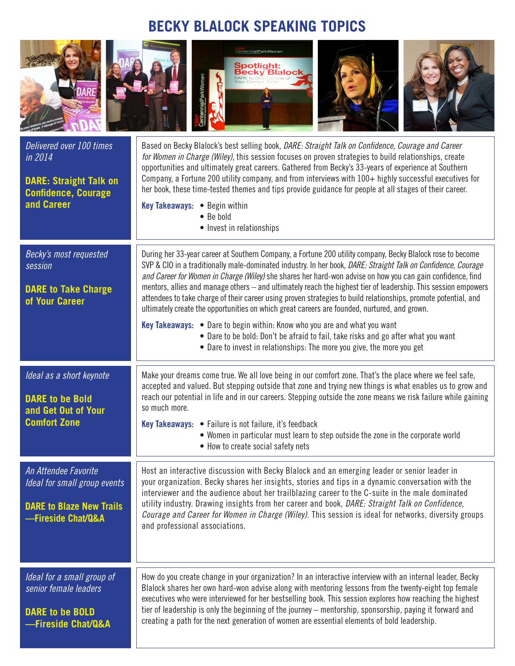## **BECKY BLALOCK SPEAKING TOPICS**



accepted and valued. But stepping outside that zone and trying new things is what enables us to grow and reach our potential in life and in our careers. Stepping outside the zone means we risk failure while gaining so much more.

**Key Takeaways: •** Failure is not failure, it's feedback

**DARE to be Bold and Get Out of Your Comfort Zone**

*An Attendee Favorite*

**DARE to Blaze New Trails —Fireside Chat/Q&A** 

*Ideal for a small group of senior female leaders*

**DARE to be BOLD —Fireside Chat/Q&A**

- **•** Women in particular must learn to step outside the zone in the corporate world
- **•** How to create social safety nets

*Ideal for small group events*  Host an interactive discussion with Becky Blalock and an emerging leader or senior leader in your organization. Becky shares her insights, stories and tips in a dynamic conversation with the interviewer and the audience about her trailblazing career to the C-suite in the male dominated utility industry. Drawing insights from her career and book, *DARE: Straight Talk on Confidence, Courage and Career for Women in Charge (Wiley)*. This session is ideal for networks, diversity groups and professional associations.

> How do you create change in your organization? In an interactive interview with an internal leader, Becky Blalock shares her own hard-won advise along with mentoring lessons from the twenty-eight top female executives who were interviewed for her bestselling book. This session explores how reaching the highest tier of leadership is only the beginning of the journey – mentorship, sponsorship, paying it forward and creating a path for the next generation of women are essential elements of bold leadership.